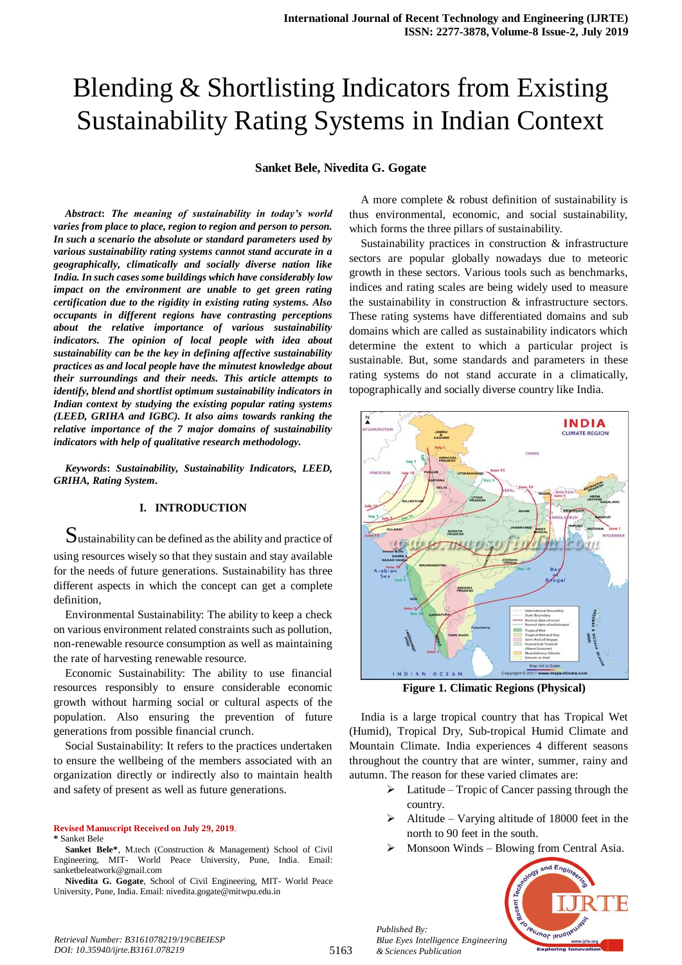# Blending & Shortlisting Indicators from Existing Sustainability Rating Systems in Indian Context

### **Sanket Bele, Nivedita G. Gogate**

*Abstract***:** *The meaning of sustainability in today's world varies from place to place, region to region and person to person. In such a scenario the absolute or standard parameters used by various sustainability rating systems cannot stand accurate in a geographically, climatically and socially diverse nation like India. In such cases some buildings which have considerably low impact on the environment are unable to get green rating certification due to the rigidity in existing rating systems. Also occupants in different regions have contrasting perceptions about the relative importance of various sustainability indicators. The opinion of local people with idea about sustainability can be the key in defining affective sustainability practices as and local people have the minutest knowledge about their surroundings and their needs. This article attempts to identify, blend and shortlist optimum sustainability indicators in Indian context by studying the existing popular rating systems (LEED, GRIHA and IGBC). It also aims towards ranking the relative importance of the 7 major domains of sustainability indicators with help of qualitative research methodology.*

*Keywords***:** *Sustainability, Sustainability Indicators, LEED, GRIHA, Rating System.*

#### **I. INTRODUCTION**

Sustainability can be defined as the ability and practice of using resources wisely so that they sustain and stay available for the needs of future generations. Sustainability has three different aspects in which the concept can get a complete definition,

Environmental Sustainability: The ability to keep a check on various environment related constraints such as pollution, non-renewable resource consumption as well as maintaining the rate of harvesting renewable resource.

Economic Sustainability: The ability to use financial resources responsibly to ensure considerable economic growth without harming social or cultural aspects of the population. Also ensuring the prevention of future generations from possible financial crunch.

Social Sustainability: It refers to the practices undertaken to ensure the wellbeing of the members associated with an organization directly or indirectly also to maintain health and safety of present as well as future generations.

**Revised Manuscript Received on July 29, 2019**. **\*** Sanket Bele

A more complete & robust definition of sustainability is thus environmental, economic, and social sustainability, which forms the three pillars of sustainability.

Sustainability practices in construction & infrastructure sectors are popular globally nowadays due to meteoric growth in these sectors. Various tools such as benchmarks, indices and rating scales are being widely used to measure the sustainability in construction & infrastructure sectors. These rating systems have differentiated domains and sub domains which are called as sustainability indicators which determine the extent to which a particular project is sustainable. But, some standards and parameters in these rating systems do not stand accurate in a climatically, topographically and socially diverse country like India.



**Figure 1. Climatic Regions (Physical)**

India is a large tropical country that has Tropical Wet (Humid), Tropical Dry, Sub-tropical Humid Climate and Mountain Climate. India experiences 4 different seasons throughout the country that are winter, summer, rainy and autumn. The reason for these varied climates are:

- $\triangleright$  Latitude Tropic of Cancer passing through the country.
- Altitude Varying altitude of 18000 feet in the north to 90 feet in the south.
- Monsoon Winds Blowing from Central Asia.



*Published By:*

**Sanket Bele\***, M.tech (Construction & Management) School of Civil Engineering, MIT- World Peace University, Pune, India. Email: sanketbeleatwork@gmail.com

**Nivedita G. Gogate**, School of Civil Engineering, MIT- World Peace University, Pune, India. Email: nivedita.gogate@mitwpu.edu.in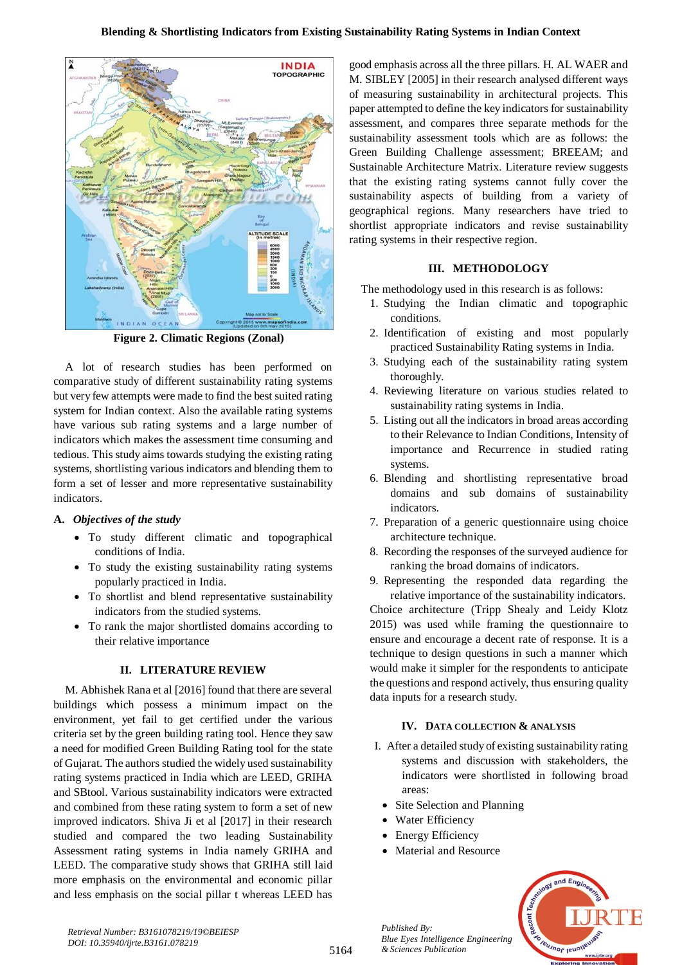

**Figure 2. Climatic Regions (Zonal)**

A lot of research studies has been performed on comparative study of different sustainability rating systems but very few attempts were made to find the best suited rating system for Indian context. Also the available rating systems have various sub rating systems and a large number of indicators which makes the assessment time consuming and tedious. This study aims towards studying the existing rating systems, shortlisting various indicators and blending them to form a set of lesser and more representative sustainability indicators.

# **A.** *Objectives of the study*

- To study different climatic and topographical conditions of India.
- To study the existing sustainability rating systems popularly practiced in India.
- To shortlist and blend representative sustainability indicators from the studied systems.
- To rank the major shortlisted domains according to their relative importance

### **II. LITERATURE REVIEW**

M. Abhishek Rana et al [2016] found that there are several buildings which possess a minimum impact on the environment, yet fail to get certified under the various criteria set by the green building rating tool. Hence they saw a need for modified Green Building Rating tool for the state of Gujarat. The authors studied the widely used sustainability rating systems practiced in India which are LEED, GRIHA and SBtool. Various sustainability indicators were extracted and combined from these rating system to form a set of new improved indicators. Shiva Ji et al [2017] in their research studied and compared the two leading Sustainability Assessment rating systems in India namely GRIHA and LEED. The comparative study shows that GRIHA still laid more emphasis on the environmental and economic pillar and less emphasis on the social pillar t whereas LEED has

good emphasis across all the three pillars. H. AL WAER and M. SIBLEY [2005] in their research analysed different ways of measuring sustainability in architectural projects. This paper attempted to define the key indicators for sustainability assessment, and compares three separate methods for the sustainability assessment tools which are as follows: the Green Building Challenge assessment; BREEAM; and Sustainable Architecture Matrix. Literature review suggests that the existing rating systems cannot fully cover the sustainability aspects of building from a variety of geographical regions. Many researchers have tried to shortlist appropriate indicators and revise sustainability rating systems in their respective region.

# **III. METHODOLOGY**

The methodology used in this research is as follows:

- 1. Studying the Indian climatic and topographic conditions.
- 2. Identification of existing and most popularly practiced Sustainability Rating systems in India.
- 3. Studying each of the sustainability rating system thoroughly.
- 4. Reviewing literature on various studies related to sustainability rating systems in India.
- 5. Listing out all the indicators in broad areas according to their Relevance to Indian Conditions, Intensity of importance and Recurrence in studied rating systems.
- 6. Blending and shortlisting representative broad domains and sub domains of sustainability indicators.
- 7. Preparation of a generic questionnaire using choice architecture technique.
- 8. Recording the responses of the surveyed audience for ranking the broad domains of indicators.
- 9. Representing the responded data regarding the relative importance of the sustainability indicators. Choice architecture (Tripp Shealy and Leidy Klotz 2015) was used while framing the questionnaire to ensure and encourage a decent rate of response. It is a technique to design questions in such a manner which would make it simpler for the respondents to anticipate the questions and respond actively, thus ensuring quality data inputs for a research study.

#### **IV. DATA COLLECTION & ANALYSIS**

- I. After a detailed study of existing sustainability rating systems and discussion with stakeholders, the indicators were shortlisted in following broad areas:
	- Site Selection and Planning
	- Water Efficiency
	- Energy Efficiency

*Published By:*

*& Sciences Publication* 

• Material and Resource



*Retrieval Number: B3161078219/19©BEIESP DOI: 10.35940/ijrte.B3161.078219*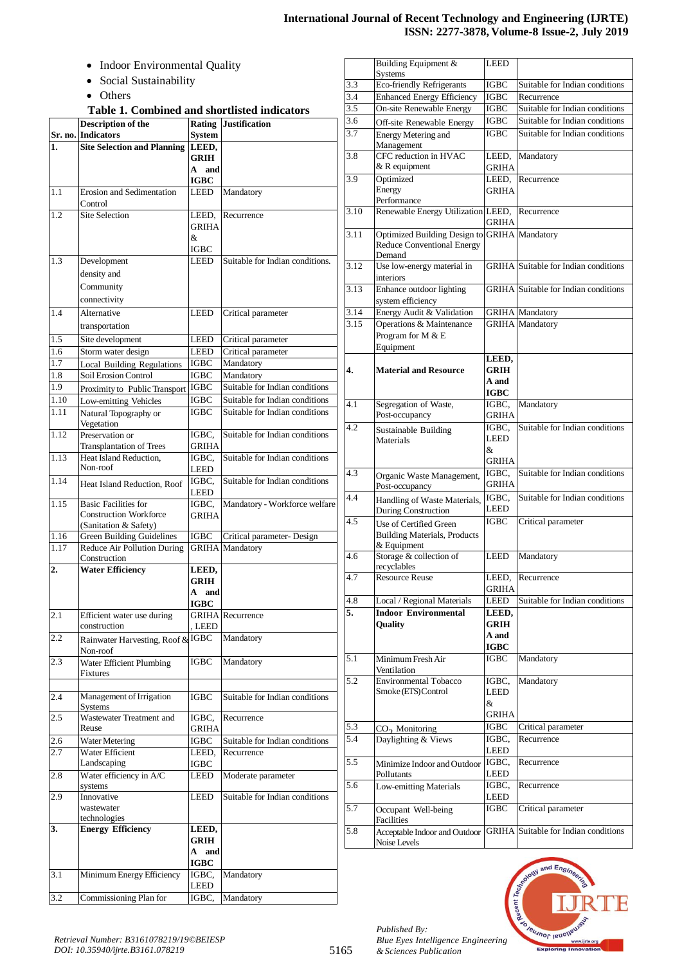# **International Journal of Recent Technology and Engineering (IJRTE) ISSN: 2277-3878, Volume-8 Issue-2, July 2019**

- Indoor Environmental Quality
- Social Sustainability
- Others

|  | Table 1. Combined and shortlisted indicators |  |  |  |
|--|----------------------------------------------|--|--|--|
|--|----------------------------------------------|--|--|--|

|                  | <b>Description of the</b>                                 | Rating                     | <b>Justification</b>                        |
|------------------|-----------------------------------------------------------|----------------------------|---------------------------------------------|
|                  | Sr. no. Indicators                                        | <b>System</b>              |                                             |
| 1.               | <b>Site Selection and Planning</b>                        | LEED,                      |                                             |
|                  |                                                           | <b>GRIH</b>                |                                             |
|                  |                                                           | A and                      |                                             |
|                  |                                                           | <b>IGBC</b>                |                                             |
| 1.1              | Erosion and Sedimentation<br>Control                      | LEED                       | Mandatory                                   |
| 1.2              | <b>Site Selection</b>                                     | LEED,                      | Recurrence                                  |
|                  |                                                           | GRIHA                      |                                             |
|                  |                                                           | &.                         |                                             |
|                  |                                                           | IGBC                       |                                             |
| 1.3              | Development                                               | LEED                       | Suitable for Indian conditions.             |
|                  | density and                                               |                            |                                             |
|                  | Community                                                 |                            |                                             |
|                  | connectivity                                              |                            |                                             |
| 1.4              | Alternative                                               | <b>LEED</b>                | Critical parameter                          |
|                  | transportation                                            |                            |                                             |
|                  |                                                           |                            |                                             |
| 1.5              | Site development                                          | LEED                       | Critical parameter                          |
| 1.6<br>1.7       | Storm water design                                        | LEED                       | Critical parameter                          |
|                  | <b>Local Building Regulations</b><br>Soil Erosion Control | <b>IGBC</b><br><b>IGBC</b> | Mandatory                                   |
| 1.8<br>1.9       |                                                           | <b>IGBC</b>                | Mandatory<br>Suitable for Indian conditions |
|                  | Proximity to Public Transport                             |                            |                                             |
| 1.10             | Low-emitting Vehicles                                     | IGBC                       | Suitable for Indian conditions              |
| 1.11             | Natural Topography or<br>Vegetation                       | IGBC                       | Suitable for Indian conditions              |
| 1.12             | Preservation or                                           | IGBC.                      | Suitable for Indian conditions              |
|                  | <b>Transplantation of Trees</b>                           | GRIHA                      |                                             |
| 1.13             | Heat Island Reduction,<br>Non-roof                        | IGBC.<br><b>LEED</b>       | Suitable for Indian conditions              |
| 1.14             | Heat Island Reduction, Roof                               | IGBC,<br>LEED              | Suitable for Indian conditions              |
| 1.15             | <b>Basic Facilities for</b>                               | IGBC.                      | Mandatory - Workforce welfare               |
|                  | <b>Construction Workforce</b>                             | <b>GRIHA</b>               |                                             |
|                  | (Sanitation & Safety)                                     |                            |                                             |
| 1.16             | <b>Green Building Guidelines</b>                          | <b>IGBC</b>                | Critical parameter- Design                  |
| 1.17             | Reduce Air Pollution During<br>Construction               | <b>GRIHA</b>               | Mandatory                                   |
| $\overline{2}$ . | <b>Water Efficiency</b>                                   | LEED,                      |                                             |
|                  |                                                           | <b>GRIH</b>                |                                             |
|                  |                                                           | A and                      |                                             |
|                  |                                                           | <b>IGBC</b>                |                                             |
| 2.1              | Efficient water use during                                |                            | <b>GRIHA</b> Recurrence                     |
|                  | construction                                              | , LEED                     |                                             |
| 2.2              | Rainwater Harvesting, Roof & IGBC                         |                            | Mandatory                                   |
|                  | Non-roof                                                  |                            |                                             |
| 2.3              | Water Efficient Plumbing<br>Fixtures                      | IGBC                       | Mandatory                                   |
|                  |                                                           |                            |                                             |
| 2.4              | Management of Irrigation<br>Systems                       | IGBC                       | Suitable for Indian conditions              |
| 2.5              | Wastewater Treatment and                                  | IGBC,                      | Recurrence                                  |
|                  | Reuse                                                     | GRIHA                      |                                             |
| 2.6              | Water Metering                                            | IGBC                       | Suitable for Indian conditions              |
| 2.7              | Water Efficient                                           | LEED,                      | Recurrence                                  |
|                  | Landscaping                                               | <b>IGBC</b>                |                                             |
| 2.8              | Water efficiency in A/C                                   | LEED                       | Moderate parameter                          |
|                  | systems                                                   |                            |                                             |
| 2.9              | Innovative                                                | LEED                       | Suitable for Indian conditions              |
|                  | wastewater                                                |                            |                                             |
|                  | technologies                                              |                            |                                             |
| 3.               | <b>Energy Efficiency</b>                                  | LEED,<br><b>GRIH</b>       |                                             |
|                  |                                                           | $\mathbf{A}$<br>and        |                                             |
|                  |                                                           | <b>IGBC</b>                |                                             |
| 3.1              | Minimum Energy Efficiency                                 | IGBC,                      | Mandatory                                   |
|                  |                                                           | <b>LEED</b>                |                                             |
| 3.2              | Commissioning Plan for                                    | IGBC,                      | Mandatory                                   |
|                  |                                                           |                            |                                             |

|      | <b>Building Equipment &amp;</b><br><b>Systems</b>                           | LEED                  |                                             |
|------|-----------------------------------------------------------------------------|-----------------------|---------------------------------------------|
| 3.3  | <b>Eco-friendly Refrigerants</b>                                            | <b>IGBC</b>           | Suitable for Indian conditions              |
| 3.4  | <b>Enhanced Energy Efficiency</b>                                           | <b>IGBC</b>           | Recurrence                                  |
| 3.5  | On-site Renewable Energy                                                    | IGBC                  | Suitable for Indian conditions              |
| 3.6  | Off-site Renewable Energy                                                   | <b>IGBC</b>           | Suitable for Indian conditions              |
| 3.7  | Energy Metering and<br>Management                                           | <b>IGBC</b>           | Suitable for Indian conditions              |
| 3.8  | CFC reduction in HVAC<br>& R equipment                                      | LEED,<br>GRIHA        | Mandatory                                   |
| 3.9  | Optimized                                                                   | LEED,                 | Recurrence                                  |
|      | Energy<br>Performance                                                       | GRIHA                 |                                             |
| 3.10 | Renewable Energy Utilization LEED,                                          | <b>GRIHA</b>          | Recurrence                                  |
| 3.11 | Optimized Building Design to<br><b>Reduce Conventional Energy</b><br>Demand |                       | <b>GRIHA</b> Mandatory                      |
| 3.12 | Use low-energy material in<br>interiors                                     |                       | <b>GRIHA</b> Suitable for Indian conditions |
| 3.13 | Enhance outdoor lighting<br>system efficiency                               |                       | <b>GRIHA</b> Suitable for Indian conditions |
| 3.14 | Energy Audit & Validation                                                   |                       | <b>GRIHA</b> Mandatory                      |
| 3.15 | Operations & Maintenance<br>Program for M & E<br>Equipment                  |                       | <b>GRIHA</b> Mandatory                      |
|      |                                                                             | LEED,                 |                                             |
| 4.   | <b>Material and Resource</b>                                                | GRIH                  |                                             |
|      |                                                                             | A and                 |                                             |
|      |                                                                             | <b>IGBC</b>           |                                             |
| 4.1  | Segregation of Waste,                                                       | IGBC,                 | Mandatory                                   |
|      | Post-occupancy                                                              | GRIHA                 |                                             |
| 4.2  | Sustainable Building                                                        | IGBC,                 | Suitable for Indian conditions              |
|      | Materials                                                                   | LEED<br>&             |                                             |
|      |                                                                             | GRIHA                 |                                             |
| 4.3  |                                                                             | IGBC.                 | Suitable for Indian conditions              |
|      | Organic Waste Management,<br>Post-occupancy                                 | <b>GRIHA</b>          |                                             |
| 4.4  | Handling of Waste Materials,<br>During Construction                         | IGBC.<br>LEED         | Suitable for Indian conditions              |
| 4.5  | Use of Certified Green                                                      | IGBC                  | Critical parameter                          |
|      | <b>Building Materials, Products</b><br>& Equipment                          |                       |                                             |
| 4.6  | Storage & collection of<br>recyclables                                      | <b>LEED</b>           | Mandatory                                   |
| 4.7  | <b>Resource Reuse</b>                                                       | LEED,<br><b>GRIHA</b> | Recurrence                                  |
| 4.8  | Local / Regional Materials                                                  | LEED                  | Suitable for Indian conditions              |
| 5.   | <b>Indoor Environmental</b>                                                 | LEED,                 |                                             |
|      | Quality                                                                     | <b>GRIH</b>           |                                             |
|      |                                                                             | A and                 |                                             |
| 5.1  |                                                                             | <b>IGBC</b><br>IGBC   | Mandatory                                   |
|      | Minimum Fresh Air<br>Ventilation                                            |                       |                                             |
| 5.2  | <b>Environmental Tobacco</b><br>Smoke (ETS) Control                         | IGBC,<br>LEED         | Mandatory                                   |
|      |                                                                             | &                     |                                             |
|      |                                                                             | GRIHA                 |                                             |
| 5.3  |                                                                             | <b>IGBC</b>           | Critical parameter                          |
| 5.4  | $CO2$ Monitoring<br>Daylighting & Views                                     | IGBC,                 | Recurrence                                  |
|      |                                                                             | LEED                  |                                             |
| 5.5  | Minimize Indoor and Outdoor<br>Pollutants                                   | IGBC,<br>LEED         | Recurrence                                  |
| 5.6  | Low-emitting Materials                                                      | IGBC,<br>LEED         | Recurrence                                  |
| 5.7  | Occupant Well-being<br>Facilities                                           | IGBC                  | Critical parameter                          |
| 5.8  | Acceptable Indoor and Outdoor<br>Noise Levels                               | <b>GRIHA</b>          | Suitable for Indian conditions              |



*Published By:*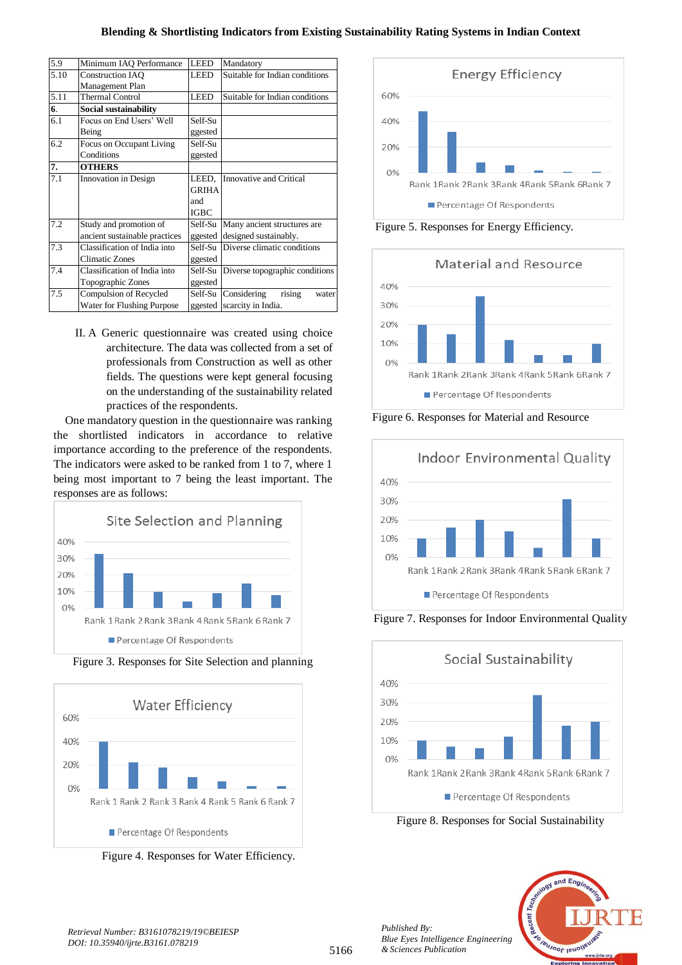| 5.9  | Minimum IAO Performance       | <b>LEED</b> | Mandatory                      |  |
|------|-------------------------------|-------------|--------------------------------|--|
| 5.10 | <b>Construction IAO</b>       | <b>LEED</b> | Suitable for Indian conditions |  |
|      | Management Plan               |             |                                |  |
| 5.11 | <b>Thermal Control</b>        | <b>LEED</b> | Suitable for Indian conditions |  |
| 6.   | Social sustainability         |             |                                |  |
| 6.1  | Focus on End Users' Well      | Self-Su     |                                |  |
|      | Being                         | ggested     |                                |  |
| 6.2  | Focus on Occupant Living      | Self-Su     |                                |  |
|      | Conditions                    | ggested     |                                |  |
| 7.   | <b>OTHERS</b>                 |             |                                |  |
| 7.1  | <b>Innovation</b> in Design   | LEED.       | Innovative and Critical        |  |
|      |                               | GRIHA       |                                |  |
|      |                               | and         |                                |  |
|      |                               | <b>IGBC</b> |                                |  |
| 7.2  | Study and promotion of        | Self-Su     | Many ancient structures are    |  |
|      | ancient sustainable practices | ggested     | designed sustainably.          |  |
| 7.3  | Classification of India into  | Self-Su     | Diverse climatic conditions    |  |
|      | <b>Climatic Zones</b>         | ggested     |                                |  |
| 7.4  | Classification of India into  | Self-Su     | Diverse topographic conditions |  |
|      | Topographic Zones             | ggested     |                                |  |
| 7.5  | Compulsion of Recycled        | Self-Su     | Considering<br>rising<br>water |  |
|      | Water for Flushing Purpose    | ggested     | scarcity in India.             |  |
|      |                               |             |                                |  |

II. A Generic questionnaire was created using choice architecture. The data was collected from a set of professionals from Construction as well as other fields. The questions were kept general focusing on the understanding of the sustainability related practices of the respondents.

One mandatory question in the questionnaire was ranking the shortlisted indicators in accordance to relative importance according to the preference of the respondents. The indicators were asked to be ranked from 1 to 7, where 1 being most important to 7 being the least important. The responses are as follows:



Figure 3. Responses for Site Selection and planning



Figure 4. Responses for Water Efficiency.



Figure 5. Responses for Energy Efficiency.



Figure 6. Responses for Material and Resource



Figure 7. Responses for Indoor Environmental Quality



Figure 8. Responses for Social Sustainability



*Published By:*